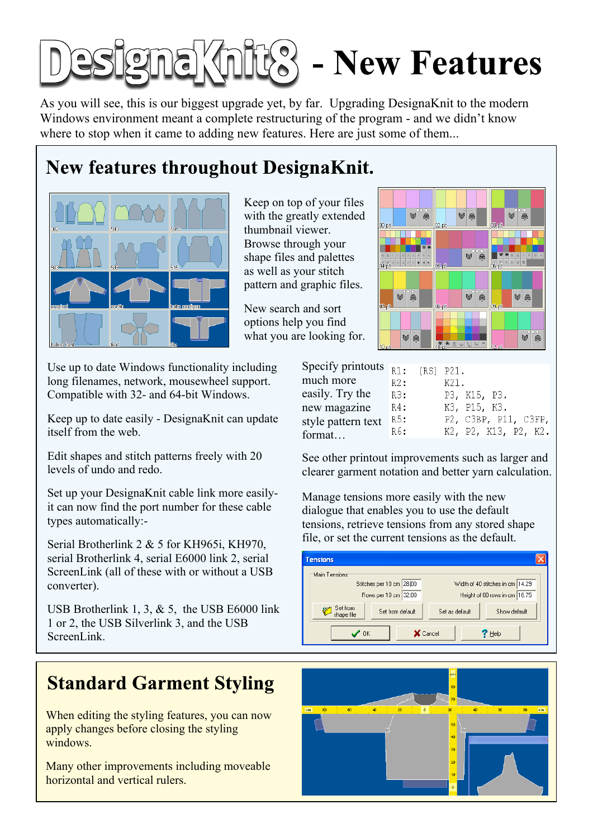# $\mathbb{R}^{\infty}$  - New Features

As you will see, this is our biggest upgrade yet, by far. Upgrading DesignaKnit to the modern Windows environment meant a complete restructuring of the program - and we didn't know where to stop when it came to adding new features. Here are just some of them...

#### **New features throughout DesignaKnit.**



Keep on top of your files with the greatly extended thumbnail viewer. Browse through your shape files and palettes as well as your stitch pattern and graphic files.

New search and sort options help you find what you are looking for.

Use up to date Windows functionality including long filenames, network, mousewheel support. Compatible with 32- and 64-bit Windows.

Keep up to date easily - DesignaKnit can update itself from the web.

Edit shapes and stitch patterns freely with 20 levels of undo and redo.

Set up your DesignaKnit cable link more easilyit can now find the port number for these cable types automatically:

Serial Brotherlink 2 & 5 for KH965i, KH970, serial Brotherlink 4, serial E6000 link 2, serial ScreenLink (all of these with or without a USB converter).

USB Brotherlink 1, 3,  $& 5$ , the USB E6000 link 1 or 2, the USB Silverlink 3, and the USB ScreenLink.

#### **Standard Garment Styling**

When editing the styling features, you can now apply changes before closing the styling windows.

Many other improvements including moveable horizontal and vertical rulers.



| Specify printouts $_{R1}$ : |        | $(RS)$ $P21$ . |                      |
|-----------------------------|--------|----------------|----------------------|
| much more                   | R2:    |                | K21.                 |
| easily. Try the             | R3:    |                | P3, K15, P3.         |
| new magazine                | $R4$ : |                | K3, P15, K3.         |
| style pattern text          | R5:    |                | P2, C3BP, P11, C3FP, |
| format                      | R6:    |                | K2, P2, K13, P2, K2. |

See other printout improvements such as larger and clearer garment notation and better yarn calculation.

Manage tensions more easily with the new dialogue that enables you to use the default tensions, retrieve tensions from any stored shape file, or set the current tensions as the default.



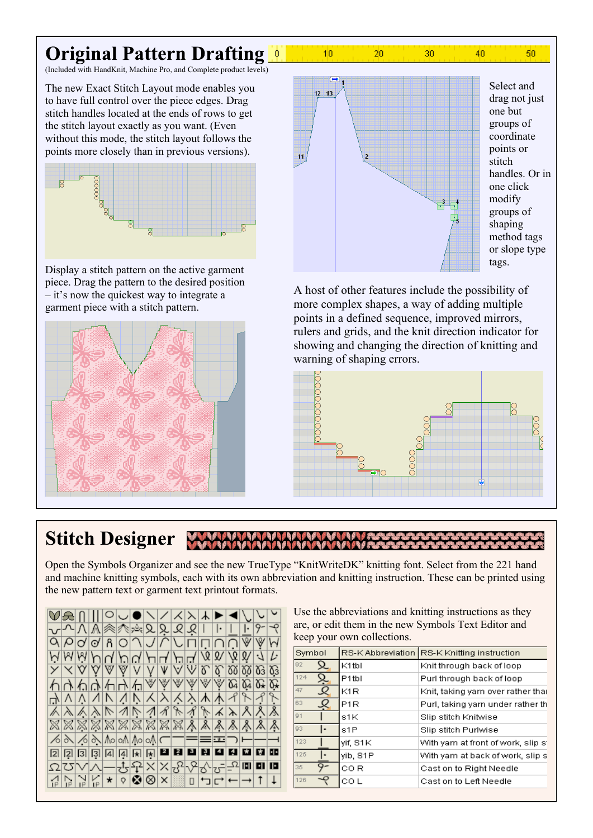#### **Original Pattern Drafting**

(Included with HandKnit, Machine Pro, and Complete product levels)

The new Exact Stitch Layout mode enables you to have full control over the piece edges. Drag stitch handles located at the ends of rows to get the stitch layout exactly as you want. (Even without this mode, the stitch layout follows the points more closely than in previous versions).



piece. Drag the pattern to the desired position  $\overline{\phantom{a}}$  it's now the quickest way to integrate a garment piece with a stitch pattern.





20

30

 $40<sub>1</sub>$ 

 $10$ 

Select and drag not just one but groups of coordinate points or stitch handles. Or in one click modify groups of shaping method tags or slope type

50

A host of other features include the possibility of more complex shapes, a way of adding multiple points in a defined sequence, improved mirrors, rulers and grids, and the knit direction indicator for showing and changing the direction of knitting and warning of shaping errors.



#### **Stitch Designer**

Open the Symbols Organizer and see the new TrueType "KnitWriteDK" knitting font. Select from the 221 hand and machine knitting symbols, each with its own abbreviation and knitting instruction. These can be printed using the new pattern text or garment text printout formats.

VANIOJON/XXXDI  $\frac{1}{\sqrt{2}}$ <u>উচিচি জিজিজি জি</u>  $\overline{\vee}\,\overline{\vee}\,\overline{\vee}$  $\times$ V VV ∩∧∩∧∧∧∧⊗⊗⊗⊗⊗∞∞ B ≫ ≫ ≫ ≫ ≫ ≫ ≫ ≫ ≫  $\equiv$ = $\equiv$ ⊃ 223334445598888888 <u> 효과사 부분 시스트 기사가</u>  $\frac{1}{\sqrt{2}}$  o a  $\frac{1}{\sqrt{2}}$  $\frac{1}{\sqrt{2}}\frac{1}{\sqrt{2}}\frac{1}{\sqrt{2}}\frac{1}{\sqrt{2}}\frac{1}{\sqrt{2}}\frac{1}{\sqrt{2}}\frac{1}{\sqrt{2}}\frac{1}{\sqrt{2}}\frac{1}{\sqrt{2}}\frac{1}{\sqrt{2}}\frac{1}{\sqrt{2}}\frac{1}{\sqrt{2}}\frac{1}{\sqrt{2}}\frac{1}{\sqrt{2}}\frac{1}{\sqrt{2}}\frac{1}{\sqrt{2}}\frac{1}{\sqrt{2}}\frac{1}{\sqrt{2}}\frac{1}{\sqrt{2}}\frac{1}{\sqrt{2}}\frac{1}{\sqrt{2}}\frac{1}{\sqrt{2}}$ □□□□←  $\uparrow$ 

Use the abbreviations and knitting instructions as they are, or edit them in the new Symbols Text Editor and keep your own collections.

| Symbol              |                    | RS-K Abbreviation RS-K Knitting instruction |
|---------------------|--------------------|---------------------------------------------|
| 92<br>Q             | K <sub>1</sub> tbl | Knit through back of loop                   |
| 124<br>Ļ            | P <sub>1</sub> tbl | Purl through back of loop                   |
| 47<br>$\mathcal{Q}$ | IK1R               | Knit, taking yarn over rather thai          |
| 63<br>Ŗ             | P <sub>1R</sub>    | Purl, taking yarn under rather th           |
| 91                  | s1K                | Slip stitch Knitwise                        |
| 93<br>I٠            | s1P                | Slip stitch Purlwise                        |
| 123                 | yif, S1K           | With yarn at front of work, slip s'         |
| 125                 | lyib, S1P          | With yarn at back of work, slip s           |
| Q.<br>35            | CO R               | Cast on to Right Needle                     |
| 126                 | CO L               | Cast on to Left Needle                      |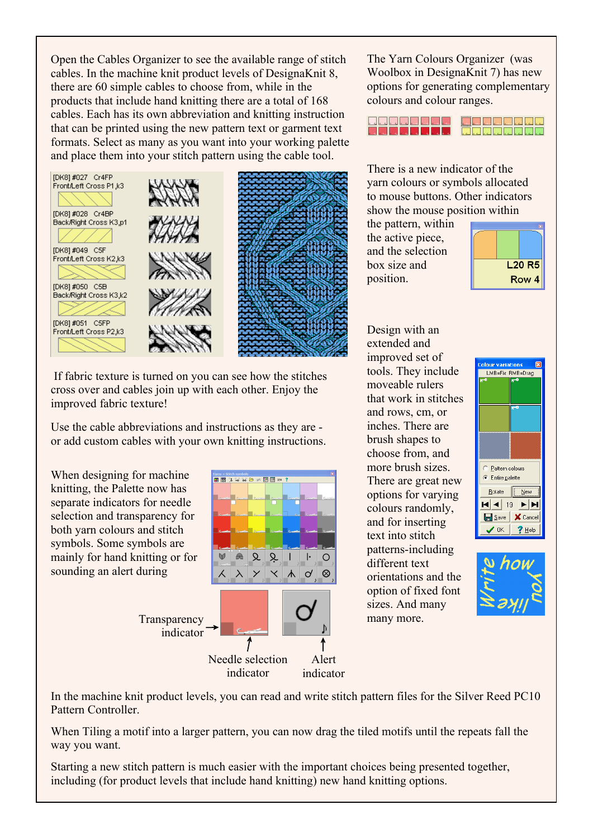Open the Cables Organizer to see the available range of stitch cables. In the machine knit product levels of DesignaKnit 8, there are 60 simple cables to choose from, while in the products that include hand knitting there are a total of 168 cables. Each has its own abbreviation and knitting instruction that can be printed using the new pattern text or garment text formats. Select as many as you want into your working palette and place them into your stitch pattern using the cable tool.



 If fabric texture is turned on you can see how the stitches cross over and cables join up with each other. Enjoy the improved fabric texture!

Use the cable abbreviations and instructions as they are or add custom cables with your own knitting instructions.

When designing for machine knitting, the Palette now has separate indicators for needle selection and transparency for both yarn colours and stitch symbols. Some symbols are mainly for hand knitting or for sounding an alert during

> **Transparency** indicator



The Yarn Colours Organizer (was Woolbox in DesignaKnit 7) has new options for generating complementary colours and colour ranges.



There is a new indicator of the yarn colours or symbols allocated to mouse buttons. Other indicators show the mouse position within

the pattern, within the active piece, and the selection box size and position.



Design with an extended and improved set of tools. They include moveable rulers that work in stitches and rows, cm, or inches. There are brush shapes to choose from, and more brush sizes. There are great new options for varying colours randomly, and for inserting text into stitch patterns-including different text orientations and the option of fixed font sizes. And many many more.





In the machine knit product levels, you can read and write stitch pattern files for the Silver Reed PC10 Pattern Controller.

When Tiling a motif into a larger pattern, you can now drag the tiled motifs until the repeats fall the way you want.

Starting a new stitch pattern is much easier with the important choices being presented together, including (for product levels that include hand knitting) new hand knitting options.